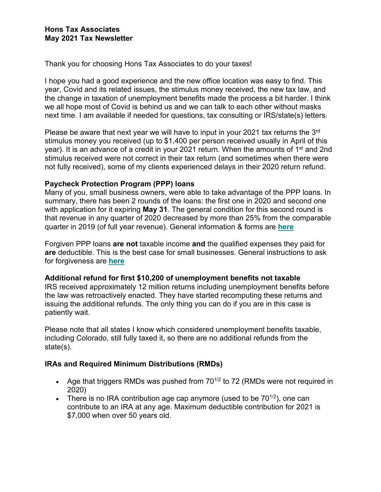Thank you for choosing Hons Tax Associates to do your taxes!

I hope you had a good experience and the new office location was easy to find. This year, Covid and its related issues, the stimulus money received, the new tax law, and the change in taxation of unemployment benefits made the process a bit harder. I think we all hope most of Covid is behind us and we can talk to each other without masks next time. I am available if needed for questions, tax consulting or IRS/state(s) letters.

Please be aware that next year we will have to input in your 2021 tax returns the 3rd stimulus money you received (up to \$1,400 per person received usually in April of this year). It is an advance of a credit in your 2021 return. When the amounts of 1<sup>st</sup> and 2nd stimulus received were not correct in their tax return (and sometimes when there were not fully received), some of my clients experienced delays in their 2020 return refund.

## **Paycheck Protection Program (PPP) loans**

Many of you, small business owners, were able to take advantage of the PPP loans. In summary, there has been 2 rounds of the loans: the first one in 2020 and second one with application for it expiring **May 31**. The general condition for this second round is that revenue in any quarter of 2020 decreased by more than 25% from the comparable quarter in 2019 (of full year revenue). General information & forms are **here**

Forgiven PPP loans **are not** taxable income **and** the qualified expenses they paid for **are** deductible. This is the best case for small businesses. General instructions to ask for forgiveness are **here**

## **Additional refund for first \$10,200 of unemployment benefits not taxable**

IRS received approximately 12 million returns including unemployment benefits before the law was retroactively enacted. They have started recomputing these returns and issuing the additional refunds. The only thing you can do if you are in this case is patiently wait.

Please note that all states I know which considered unemployment benefits taxable, including Colorado, still fully taxed it, so there are no additional refunds from the state(s).

## **IRAs and Required Minimum Distributions (RMDs)**

- Age that triggers RMDs was pushed from  $70^{1/2}$  to 72 (RMDs were not required in 2020)
- There is no IRA contribution age cap anymore (used to be  $70^{1/2}$ ), one can contribute to an IRA at any age. Maximum deductible contribution for 2021 is \$7,000 when over 50 years old.